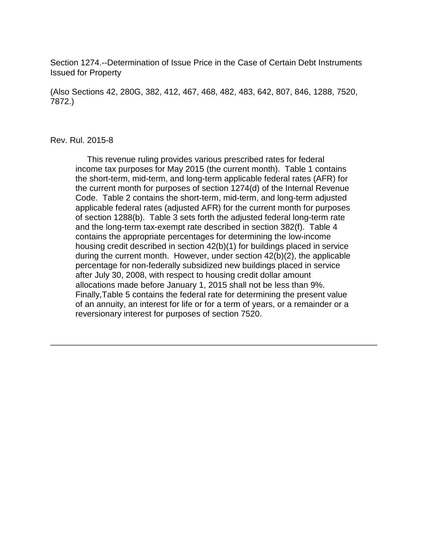Section 1274.--Determination of Issue Price in the Case of Certain Debt Instruments Issued for Property

(Also Sections 42, 280G, 382, 412, 467, 468, 482, 483, 642, 807, 846, 1288, 7520, 7872.)

#### Rev. Rul. 2015-8

 This revenue ruling provides various prescribed rates for federal income tax purposes for May 2015 (the current month). Table 1 contains the short-term, mid-term, and long-term applicable federal rates (AFR) for the current month for purposes of section 1274(d) of the Internal Revenue Code. Table 2 contains the short-term, mid-term, and long-term adjusted applicable federal rates (adjusted AFR) for the current month for purposes of section 1288(b). Table 3 sets forth the adjusted federal long-term rate and the long-term tax-exempt rate described in section 382(f). Table 4 contains the appropriate percentages for determining the low-income housing credit described in section 42(b)(1) for buildings placed in service during the current month. However, under section 42(b)(2), the applicable percentage for non-federally subsidized new buildings placed in service after July 30, 2008, with respect to housing credit dollar amount allocations made before January 1, 2015 shall not be less than 9%. Finally,Table 5 contains the federal rate for determining the present value of an annuity, an interest for life or for a term of years, or a remainder or a reversionary interest for purposes of section 7520.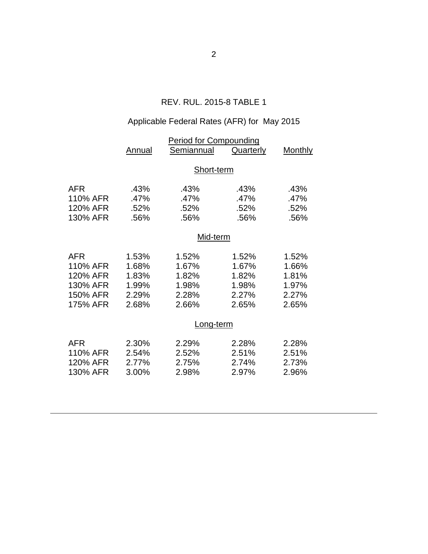## REV. RUL. 2015-8 TABLE 1

# Applicable Federal Rates (AFR) for May 2015

|            | <u>Period for Compounding</u> |            |                  |                |  |  |
|------------|-------------------------------|------------|------------------|----------------|--|--|
|            | <b>Annual</b>                 | Semiannual | <b>Quarterly</b> | <b>Monthly</b> |  |  |
|            | Short-term                    |            |                  |                |  |  |
|            |                               |            |                  |                |  |  |
| <b>AFR</b> | .43%                          | .43%       | .43%             | .43%           |  |  |
| 110% AFR   | .47%                          | .47%       | .47%             | .47%           |  |  |
| 120% AFR   | .52%                          | .52%       | .52%             | .52%           |  |  |
| 130% AFR   | .56%                          | .56%       | .56%             | .56%           |  |  |
|            | Mid-term                      |            |                  |                |  |  |
| <b>AFR</b> | 1.53%                         | 1.52%      | 1.52%            | 1.52%          |  |  |
| 110% AFR   | 1.68%                         | 1.67%      | 1.67%            | 1.66%          |  |  |
| 120% AFR   | 1.83%                         | 1.82%      | 1.82%            | 1.81%          |  |  |
| 130% AFR   | 1.99%                         | 1.98%      | 1.98%            | 1.97%          |  |  |
| 150% AFR   | 2.29%                         | 2.28%      | 2.27%            | 2.27%          |  |  |
| 175% AFR   | 2.68%                         | 2.66%      | 2.65%            | 2.65%          |  |  |
|            |                               | Long-term  |                  |                |  |  |
| <b>AFR</b> | 2.30%                         | 2.29%      | 2.28%            | 2.28%          |  |  |
| 110% AFR   | 2.54%                         | 2.52%      | 2.51%            | 2.51%          |  |  |
| 120% AFR   | 2.77%                         | 2.75%      | 2.74%            | 2.73%          |  |  |
| 130% AFR   | 3.00%                         | 2.98%      | 2.97%            | 2.96%          |  |  |
|            |                               |            |                  |                |  |  |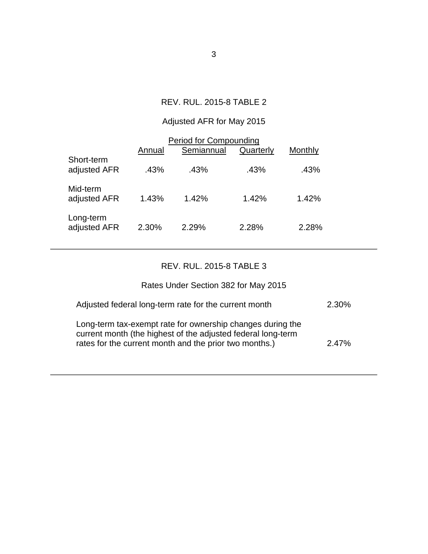### REV. RUL. 2015-8 TABLE 2

# Adjusted AFR for May 2015

| <b>Period for Compounding</b> |        |            |           |         |  |  |
|-------------------------------|--------|------------|-----------|---------|--|--|
|                               | Annual | Semiannual | Quarterly | Monthly |  |  |
| Short-term<br>adjusted AFR    | .43%   | .43%       | .43%      | .43%    |  |  |
| Mid-term<br>adjusted AFR      | 1.43%  | 1.42%      | 1.42%     | 1.42%   |  |  |
| Long-term<br>adjusted AFR     | 2.30%  | 2.29%      | 2.28%     | 2.28%   |  |  |

## REV. RUL. 2015-8 TABLE 3

### Rates Under Section 382 for May 2015

| Adjusted federal long-term rate for the current month                                                                                                                                | 2.30% |
|--------------------------------------------------------------------------------------------------------------------------------------------------------------------------------------|-------|
| Long-term tax-exempt rate for ownership changes during the<br>current month (the highest of the adjusted federal long-term<br>rates for the current month and the prior two months.) | 2.47% |